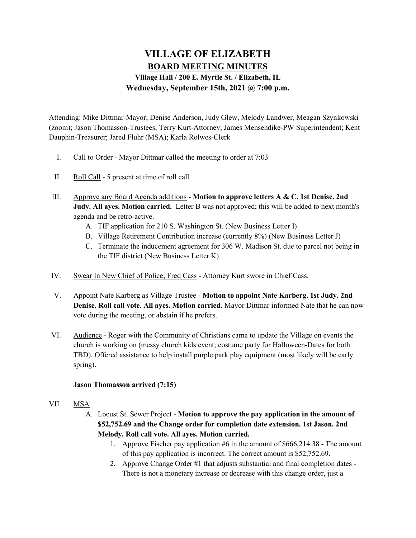# VILLAGE OF ELIZABETH BOARD MEETING MINUTES Village Hall / 200 E. Myrtle St. / Elizabeth, IL Wednesday, September 15th, 2021 @ 7:00 p.m.

Attending: Mike Dittmar-Mayor; Denise Anderson, Judy Glew, Melody Landwer, Meagan Szynkowski (zoom); Jason Thomasson-Trustees; Terry Kurt-Attorney; James Mensendike-PW Superintendent; Kent Dauphin-Treasurer; Jared Fluhr (MSA); Karla Rolwes-Clerk

- I. Call to Order Mayor Dittmar called the meeting to order at 7:03
- II. Roll Call 5 present at time of roll call
- III. Approve any Board Agenda additions Motion to approve letters A & C. 1st Denise. 2nd **Judy. All ayes. Motion carried.** Letter B was not approved; this will be added to next month's agenda and be retro-active.
	- A. TIF application for 210 S. Washington St. (New Business Letter I)
	- B. Village Retirement Contribution increase (currently 8%) (New Business Letter J)
	- C. Terminate the inducement agreement for 306 W. Madison St. due to parcel not being in the TIF district (New Business Letter K)
- IV. Swear In New Chief of Police; Fred Cass Attorney Kurt swore in Chief Cass.
- V. Appoint Nate Karberg as Village Trustee Motion to appoint Nate Karberg. 1st Judy. 2nd Denise. Roll call vote. All ayes. Motion carried. Mayor Dittmar informed Nate that he can now vote during the meeting, or abstain if he prefers.
- VI. Audience Roger with the Community of Christians came to update the Village on events the church is working on (messy church kids event; costume party for Halloween-Dates for both TBD). Offered assistance to help install purple park play equipment (most likely will be early spring).

## Jason Thomasson arrived (7:15)

## VII. MSA

- A. Locust St. Sewer Project Motion to approve the pay application in the amount of \$52,752.69 and the Change order for completion date extension. 1st Jason. 2nd Melody. Roll call vote. All ayes. Motion carried.
	- 1. Approve Fischer pay application #6 in the amount of \$666,214.38 The amount of this pay application is incorrect. The correct amount is \$52,752.69.
	- 2. Approve Change Order #1 that adjusts substantial and final completion dates There is not a monetary increase or decrease with this change order, just a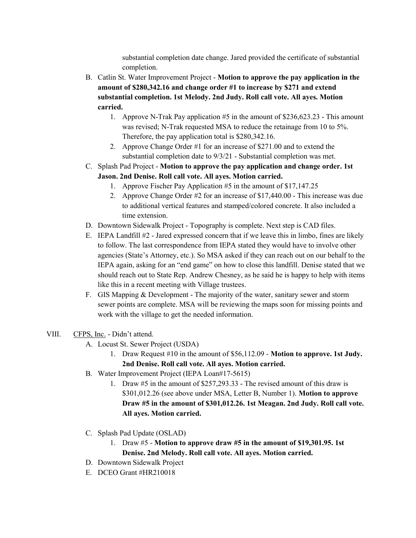substantial completion date change. Jared provided the certificate of substantial completion.

- B. Catlin St. Water Improvement Project Motion to approve the pay application in the amount of \$280,342.16 and change order #1 to increase by \$271 and extend substantial completion. 1st Melody. 2nd Judy. Roll call vote. All ayes. Motion carried.
	- 1. Approve N-Trak Pay application #5 in the amount of \$236,623.23 This amount was revised; N-Trak requested MSA to reduce the retainage from 10 to 5%. Therefore, the pay application total is \$280,342.16.
	- 2. Approve Change Order #1 for an increase of \$271.00 and to extend the substantial completion date to 9/3/21 - Substantial completion was met.
- C. Splash Pad Project Motion to approve the pay application and change order. 1st Jason. 2nd Denise. Roll call vote. All ayes. Motion carried.
	- 1. Approve Fischer Pay Application #5 in the amount of \$17,147.25
	- 2. Approve Change Order #2 for an increase of \$17,440.00 This increase was due to additional vertical features and stamped/colored concrete. It also included a time extension.
- D. Downtown Sidewalk Project Topography is complete. Next step is CAD files.
- E. IEPA Landfill #2 Jared expressed concern that if we leave this in limbo, fines are likely to follow. The last correspondence from IEPA stated they would have to involve other agencies (State's Attorney, etc.). So MSA asked if they can reach out on our behalf to the IEPA again, asking for an "end game" on how to close this landfill. Denise stated that we should reach out to State Rep. Andrew Chesney, as he said he is happy to help with items like this in a recent meeting with Village trustees.
- F. GIS Mapping & Development The majority of the water, sanitary sewer and storm sewer points are complete. MSA will be reviewing the maps soon for missing points and work with the village to get the needed information.
- VIII. CFPS, Inc. Didn't attend.
	- A. Locust St. Sewer Project (USDA)
		- 1. Draw Request #10 in the amount of \$56,112.09 Motion to approve. 1st Judy. 2nd Denise. Roll call vote. All ayes. Motion carried.
	- B. Water Improvement Project (IEPA Loan#17-5615)
		- 1. Draw #5 in the amount of \$257,293.33 The revised amount of this draw is \$301,012.26 (see above under MSA, Letter B, Number 1). Motion to approve Draw #5 in the amount of \$301,012.26. 1st Meagan. 2nd Judy. Roll call vote. All ayes. Motion carried.
	- C. Splash Pad Update (OSLAD)
		- 1. Draw #5 Motion to approve draw #5 in the amount of \$19,301.95. 1st Denise. 2nd Melody. Roll call vote. All ayes. Motion carried.
	- D. Downtown Sidewalk Project
	- E. DCEO Grant #HR210018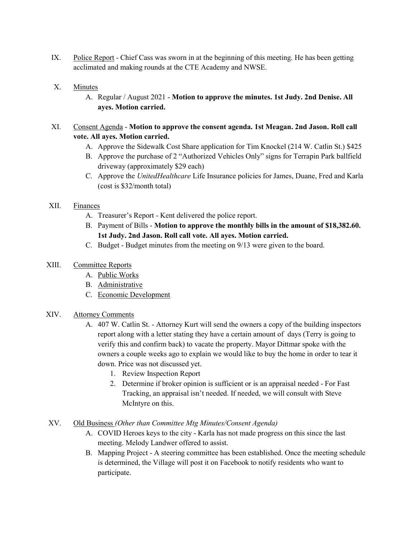IX. Police Report - Chief Cass was sworn in at the beginning of this meeting. He has been getting acclimated and making rounds at the CTE Academy and NWSE.

## X. Minutes

A. Regular / August 2021 - Motion to approve the minutes. 1st Judy. 2nd Denise. All ayes. Motion carried.

## XI. Consent Agenda - Motion to approve the consent agenda. 1st Meagan. 2nd Jason. Roll call vote. All ayes. Motion carried.

- A. Approve the Sidewalk Cost Share application for Tim Knockel (214 W. Catlin St.) \$425
- B. Approve the purchase of 2 "Authorized Vehicles Only" signs for Terrapin Park ballfield driveway (approximately \$29 each)
- C. Approve the UnitedHealthcare Life Insurance policies for James, Duane, Fred and Karla (cost is \$32/month total)

#### XII. Finances

- A. Treasurer's Report Kent delivered the police report.
- B. Payment of Bills Motion to approve the monthly bills in the amount of \$18,382.60. 1st Judy. 2nd Jason. Roll call vote. All ayes. Motion carried.
- C. Budget Budget minutes from the meeting on 9/13 were given to the board.

## XIII. Committee Reports

- A. Public Works
- B. Administrative
- C. Economic Development

#### XIV. Attorney Comments

- A. 407 W. Catlin St. Attorney Kurt will send the owners a copy of the building inspectors report along with a letter stating they have a certain amount of days (Terry is going to verify this and confirm back) to vacate the property. Mayor Dittmar spoke with the owners a couple weeks ago to explain we would like to buy the home in order to tear it down. Price was not discussed yet.
	- 1. Review Inspection Report
	- 2. Determine if broker opinion is sufficient or is an appraisal needed For Fast Tracking, an appraisal isn't needed. If needed, we will consult with Steve McIntyre on this.

#### XV. Old Business (Other than Committee Mtg Minutes/Consent Agenda)

- A. COVID Heroes keys to the city Karla has not made progress on this since the last meeting. Melody Landwer offered to assist.
- B. Mapping Project A steering committee has been established. Once the meeting schedule is determined, the Village will post it on Facebook to notify residents who want to participate.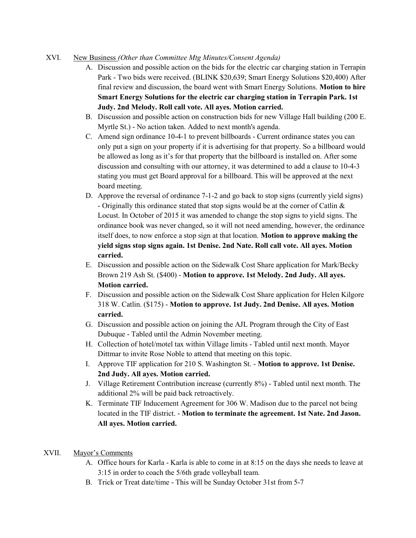#### XVI. New Business (Other than Committee Mtg Minutes/Consent Agenda)

- A. Discussion and possible action on the bids for the electric car charging station in Terrapin Park - Two bids were received. (BLINK \$20,639; Smart Energy Solutions \$20,400) After final review and discussion, the board went with Smart Energy Solutions. Motion to hire Smart Energy Solutions for the electric car charging station in Terrapin Park. 1st Judy. 2nd Melody. Roll call vote. All ayes. Motion carried.
- B. Discussion and possible action on construction bids for new Village Hall building (200 E. Myrtle St.) - No action taken. Added to next month's agenda.
- C. Amend sign ordinance 10-4-1 to prevent billboards Current ordinance states you can only put a sign on your property if it is advertising for that property. So a billboard would be allowed as long as it's for that property that the billboard is installed on. After some discussion and consulting with our attorney, it was determined to add a clause to 10-4-3 stating you must get Board approval for a billboard. This will be approved at the next board meeting.
- D. Approve the reversal of ordinance 7-1-2 and go back to stop signs (currently yield signs) - Originally this ordinance stated that stop signs would be at the corner of Catlin & Locust. In October of 2015 it was amended to change the stop signs to yield signs. The ordinance book was never changed, so it will not need amending, however, the ordinance itself does, to now enforce a stop sign at that location. Motion to approve making the yield signs stop signs again. 1st Denise. 2nd Nate. Roll call vote. All ayes. Motion carried.
- E. Discussion and possible action on the Sidewalk Cost Share application for Mark/Becky Brown 219 Ash St. (\$400) - Motion to approve. 1st Melody. 2nd Judy. All ayes. Motion carried.
- F. Discussion and possible action on the Sidewalk Cost Share application for Helen Kilgore 318 W. Catlin. (\$175) - Motion to approve. 1st Judy. 2nd Denise. All ayes. Motion carried.
- G. Discussion and possible action on joining the AJL Program through the City of East Dubuque - Tabled until the Admin November meeting.
- H. Collection of hotel/motel tax within Village limits Tabled until next month. Mayor Dittmar to invite Rose Noble to attend that meeting on this topic.
- I. Approve TIF application for 210 S. Washington St. Motion to approve. 1st Denise. 2nd Judy. All ayes. Motion carried.
- J. Village Retirement Contribution increase (currently 8%) Tabled until next month. The additional 2% will be paid back retroactively.
- K. Terminate TIF Inducement Agreement for 306 W. Madison due to the parcel not being located in the TIF district. - Motion to terminate the agreement. 1st Nate. 2nd Jason. All ayes. Motion carried.

## XVII. Mayor's Comments

- A. Office hours for Karla Karla is able to come in at 8:15 on the days she needs to leave at 3:15 in order to coach the 5/6th grade volleyball team.
- B. Trick or Treat date/time This will be Sunday October 31st from 5-7